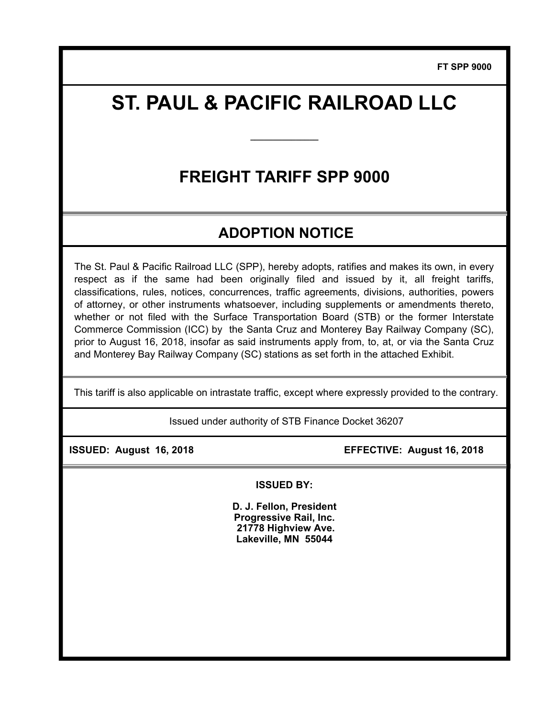**FT SPP 9000**

# **ST. PAUL & PACIFIC RAILROAD LLC**

**\_\_\_\_\_\_\_\_\_\_\_\_\_\_\_** 

# **FREIGHT TARIFF SPP 9000**

## **ADOPTION NOTICE**

The St. Paul & Pacific Railroad LLC (SPP), hereby adopts, ratifies and makes its own, in every respect as if the same had been originally filed and issued by it, all freight tariffs, classifications, rules, notices, concurrences, traffic agreements, divisions, authorities, powers of attorney, or other instruments whatsoever, including supplements or amendments thereto, whether or not filed with the Surface Transportation Board (STB) or the former Interstate Commerce Commission (ICC) by the Santa Cruz and Monterey Bay Railway Company (SC), prior to August 16, 2018, insofar as said instruments apply from, to, at, or via the Santa Cruz and Monterey Bay Railway Company (SC) stations as set forth in the attached Exhibit.

This tariff is also applicable on intrastate traffic, except where expressly provided to the contrary.

Issued under authority of STB Finance Docket 36207

 **ISSUED: August 16, 2018 EFFECTIVE: August 16, 2018** 

**ISSUED BY:** 

**D. J. Fellon, President Progressive Rail, Inc. 21778 Highview Ave. Lakeville, MN 55044**